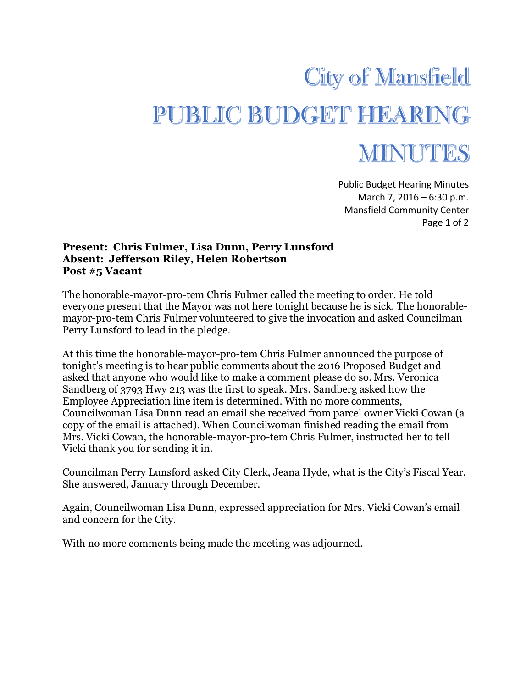## **City of Mansfield** PUBLIC BUDGET HEARING

## MINUTES

Public Budget Hearing Minutes March 7, 2016 – 6:30 p.m. Mansfield Community Center Page 1 of 2

## **Present: Chris Fulmer, Lisa Dunn, Perry Lunsford Absent: Jefferson Riley, Helen Robertson Post #5 Vacant**

The honorable-mayor-pro-tem Chris Fulmer called the meeting to order. He told everyone present that the Mayor was not here tonight because he is sick. The honorablemayor-pro-tem Chris Fulmer volunteered to give the invocation and asked Councilman Perry Lunsford to lead in the pledge.

At this time the honorable-mayor-pro-tem Chris Fulmer announced the purpose of tonight's meeting is to hear public comments about the 2016 Proposed Budget and asked that anyone who would like to make a comment please do so. Mrs. Veronica Sandberg of 3793 Hwy 213 was the first to speak. Mrs. Sandberg asked how the Employee Appreciation line item is determined. With no more comments, Councilwoman Lisa Dunn read an email she received from parcel owner Vicki Cowan (a copy of the email is attached). When Councilwoman finished reading the email from Mrs. Vicki Cowan, the honorable-mayor-pro-tem Chris Fulmer, instructed her to tell Vicki thank you for sending it in.

Councilman Perry Lunsford asked City Clerk, Jeana Hyde, what is the City's Fiscal Year. She answered, January through December.

Again, Councilwoman Lisa Dunn, expressed appreciation for Mrs. Vicki Cowan's email and concern for the City.

With no more comments being made the meeting was adjourned.